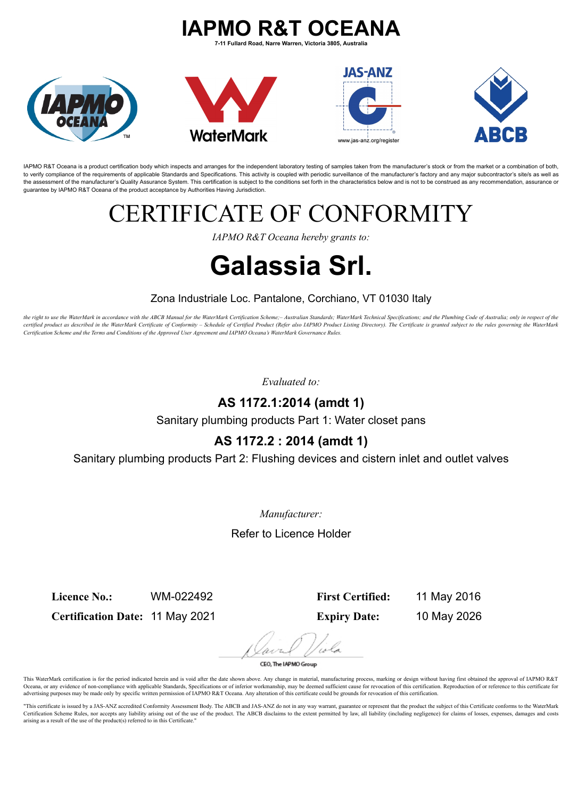# **IAPMO R&T OCEANA**

**7-11 Fullard Road, Narre Warren, Victoria 3805, Australia**



IAPMO R&T Oceana is a product certification body which inspects and arranges for the independent laboratory testing of samples taken from the manufacturer's stock or from the market or a combination of both, to verify compliance of the requirements of applicable Standards and Specifications. This activity is coupled with periodic surveillance of the manufacturer's factory and any major subcontractor's site/s as well as the assessment of the manufacturer's Quality Assurance System. This certification is subject to the conditions set forth in the characteristics below and is not to be construed as any recommendation, assurance or guarantee by IAPMO R&T Oceana of the product acceptance by Authorities Having Jurisdiction.

# ERTIFICATE OF CONFORMITY

*IAPMO R&T Oceana hereby grants to:*

# **Galassia Srl.**

#### Zona Industriale Loc. Pantalone, Corchiano, VT 01030 Italy

the right to use the WaterMark in accordance with the ABCB Manual for the WaterMark Certification Scheme;- Australian Standards; WaterMark Technical Specifications; and the Plumbing Code of Australia; only in respect of th certified product as described in the WaterMark Certificate of Conformity - Schedule of Certified Product (Refer also IAPMO Product Listing Directory). The Certificate is granted subject to the rules governing the WaterMar *Certification Scheme and the Terms and Conditions of the Approved User Agreement and IAPMO Oceana's WaterMark Governance Rules.*

*Evaluated to:*

### **AS 1172.1:2014 (amdt 1)**

Sanitary plumbing products Part 1: Water closet pans

## **AS 1172.2 : 2014 (amdt 1)**

Sanitary plumbing products Part 2: Flushing devices and cistern inlet and outlet valves

*Manufacturer:*

Refer to Licence Holder

**Licence No.:** WM-022492

**Certification Date:** 11 May 2021

**First Certified:** 11 May 2016

**Expiry Date:** 10 May 2026

CEO, The IAPMO Group

This WaterMark certification is for the period indicated herein and is void after the date shown above. Any change in material, manufacturing process, marking or design without having first obtained the approval of IAPMO R Oceana, or any evidence of non-compliance with applicable Standards, Specifications or of inferior workmanship, may be deemed sufficient cause for revocation of this certification. Reproduction of or reference to this cert advertising purposes may be made only by specific written permission of IAPMO R&T Oceana. Any alteration of this certificate could be grounds for revocation of this certification.

"This certificate is issued by a JAS-ANZ accredited Conformity Assessment Body. The ABCB and JAS-ANZ do not in any way warrant, guarantee or represent that the product the subject of this Certificate conforms to the WaterM Certification Scheme Rules, nor accepts any liability arising out of the use of the product. The ABCB disclaims to the extent permitted by law, all liability (including negligence) for claims of losses, expenses, damages a arising as a result of the use of the product(s) referred to in this Certificate."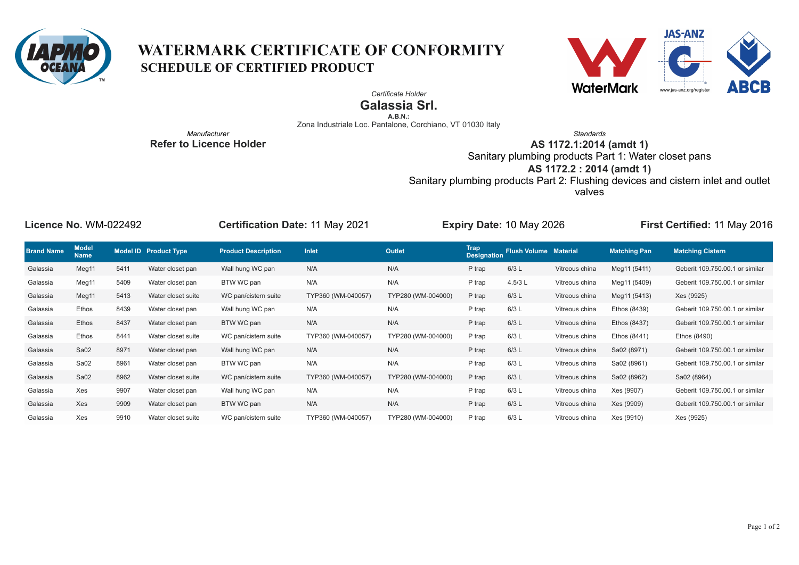

## **WATERMARK CERTIFICATE OF CONFORMITY SCHEDULE OF CERTIFIED PRODUCT**



*Certificate Holder*

**Galassia Srl.**

**A.B.N.:**

Zona Industriale Loc. Pantalone, Corchiano, VT 01030 Italy

*Manufacturer* **Refer to Licence Holder**

*Standards* **AS 1172.1:2014 (amdt 1)** Sanitary plumbing products Part 1: Water closet pans **AS 1172.2 : 2014 (amdt 1)** Sanitary plumbing products Part 2: Flushing devices and cistern inlet and outlet valves

| Licence No. WM-022492 |                             |      |                       | <b>Certification Date: 11 May 2021</b> |                    | Expiry Date: 10 May 2026 |                     |                              |                | First Certified: 11 May 2016 |                                 |
|-----------------------|-----------------------------|------|-----------------------|----------------------------------------|--------------------|--------------------------|---------------------|------------------------------|----------------|------------------------------|---------------------------------|
| <b>Brand Name</b>     | <b>Model</b><br><b>Name</b> |      | Model ID Product Type | <b>Product Description</b>             | Inlet              | <b>Outlet</b>            | Trap<br>Designation | <b>Flush Volume Material</b> |                | <b>Matching Pan</b>          | <b>Matching Cistern</b>         |
| Galassia              | Meg11                       | 5411 | Water closet pan      | Wall hung WC pan                       | N/A                | N/A                      | P trap              | 6/3L                         | Vitreous china | Meg11 (5411)                 | Geberit 109.750.00.1 or similar |
| Galassia              | Meg11                       | 5409 | Water closet pan      | BTW WC pan                             | N/A                | N/A                      | P trap              | 4.5/3 L                      | Vitreous china | Meg11 (5409)                 | Geberit 109.750.00.1 or similar |
| Galassia              | Meg11                       | 5413 | Water closet suite    | WC pan/cistern suite                   | TYP360 (WM-040057) | TYP280 (WM-004000)       | P trap              | 6/3L                         | Vitreous china | Meg11 (5413)                 | Xes (9925)                      |
| Galassia              | Ethos                       | 8439 | Water closet pan      | Wall hung WC pan                       | N/A                | N/A                      | P trap              | 6/3L                         | Vitreous china | Ethos (8439)                 | Geberit 109.750.00.1 or similar |
| Galassia              | Ethos                       | 8437 | Water closet pan      | BTW WC pan                             | N/A                | N/A                      | P trap              | 6/3L                         | Vitreous china | Ethos (8437)                 | Geberit 109.750.00.1 or similar |
| Galassia              | Ethos                       | 8441 | Water closet suite    | WC pan/cistern suite                   | TYP360 (WM-040057) | TYP280 (WM-004000)       | P trap              | 6/3L                         | Vitreous china | Ethos (8441)                 | Ethos (8490)                    |
| Galassia              | Sa <sub>02</sub>            | 8971 | Water closet pan      | Wall hung WC pan                       | N/A                | N/A                      | P trap              | 6/3L                         | Vitreous china | Sa02 (8971)                  | Geberit 109.750.00.1 or similar |
| Galassia              | Sa02                        | 8961 | Water closet pan      | BTW WC pan                             | N/A                | N/A                      | P trap              | 6/3L                         | Vitreous china | Sa02 (8961)                  | Geberit 109.750.00.1 or similar |
| Galassia              | Sa02                        | 8962 | Water closet suite    | WC pan/cistern suite                   | TYP360 (WM-040057) | TYP280 (WM-004000)       | P trap              | 6/3L                         | Vitreous china | Sa02 (8962)                  | Sa02 (8964)                     |
| Galassia              | Xes                         | 9907 | Water closet pan      | Wall hung WC pan                       | N/A                | N/A                      | P trap              | 6/3L                         | Vitreous china | Xes (9907)                   | Geberit 109.750.00.1 or similar |
| Galassia              | Xes                         | 9909 | Water closet pan      | BTW WC pan                             | N/A                | N/A                      | P trap              | 6/3L                         | Vitreous china | Xes (9909)                   | Geberit 109.750.00.1 or similar |
| Galassia              | Xes                         | 9910 | Water closet suite    | WC pan/cistern suite                   | TYP360 (WM-040057) | TYP280 (WM-004000)       | P trap              | 6/3L                         | Vitreous china | Xes (9910)                   | Xes (9925)                      |